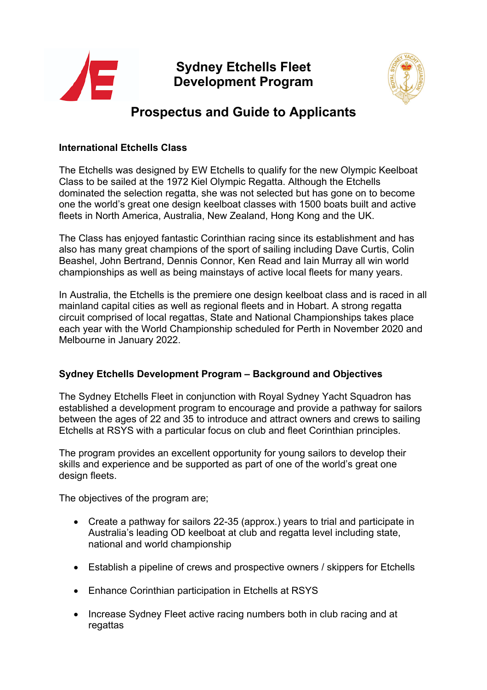

# **Sydney Etchells Fleet Development Program**



# **Prospectus and Guide to Applicants**

### **International Etchells Class**

The Etchells was designed by EW Etchells to qualify for the new Olympic Keelboat Class to be sailed at the 1972 Kiel Olympic Regatta. Although the Etchells dominated the selection regatta, she was not selected but has gone on to become one the world's great one design keelboat classes with 1500 boats built and active fleets in North America, Australia, New Zealand, Hong Kong and the UK.

The Class has enjoyed fantastic Corinthian racing since its establishment and has also has many great champions of the sport of sailing including Dave Curtis, Colin Beashel, John Bertrand, Dennis Connor, Ken Read and Iain Murray all win world championships as well as being mainstays of active local fleets for many years.

In Australia, the Etchells is the premiere one design keelboat class and is raced in all mainland capital cities as well as regional fleets and in Hobart. A strong regatta circuit comprised of local regattas, State and National Championships takes place each year with the World Championship scheduled for Perth in November 2020 and Melbourne in January 2022.

## **Sydney Etchells Development Program – Background and Objectives**

The Sydney Etchells Fleet in conjunction with Royal Sydney Yacht Squadron has established a development program to encourage and provide a pathway for sailors between the ages of 22 and 35 to introduce and attract owners and crews to sailing Etchells at RSYS with a particular focus on club and fleet Corinthian principles.

The program provides an excellent opportunity for young sailors to develop their skills and experience and be supported as part of one of the world's great one design fleets.

The objectives of the program are;

- Create a pathway for sailors 22-35 (approx.) years to trial and participate in Australia's leading OD keelboat at club and regatta level including state, national and world championship
- Establish a pipeline of crews and prospective owners / skippers for Etchells
- Enhance Corinthian participation in Etchells at RSYS
- Increase Sydney Fleet active racing numbers both in club racing and at regattas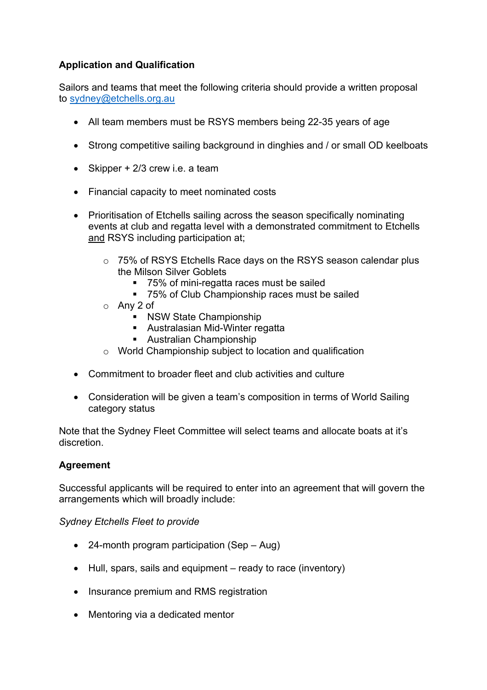# **Application and Qualification**

Sailors and teams that meet the following criteria should provide a written proposal to sydney@etchells.org.au

- All team members must be RSYS members being 22-35 years of age
- Strong competitive sailing background in dinghies and / or small OD keelboats
- Skipper  $+2/3$  crew i.e. a team
- Financial capacity to meet nominated costs
- Prioritisation of Etchells sailing across the season specifically nominating events at club and regatta level with a demonstrated commitment to Etchells and RSYS including participation at;
	- o 75% of RSYS Etchells Race days on the RSYS season calendar plus the Milson Silver Goblets
		- § 75% of mini-regatta races must be sailed
		- 75% of Club Championship races must be sailed
	- o Any 2 of
		- NSW State Championship
		- Australasian Mid-Winter regatta
		- Australian Championship
	- o World Championship subject to location and qualification
- Commitment to broader fleet and club activities and culture
- Consideration will be given a team's composition in terms of World Sailing category status

Note that the Sydney Fleet Committee will select teams and allocate boats at it's discretion.

## **Agreement**

Successful applicants will be required to enter into an agreement that will govern the arrangements which will broadly include:

#### *Sydney Etchells Fleet to provide*

- 24-month program participation (Sep Aug)
- Hull, spars, sails and equipment ready to race (inventory)
- Insurance premium and RMS registration
- Mentoring via a dedicated mentor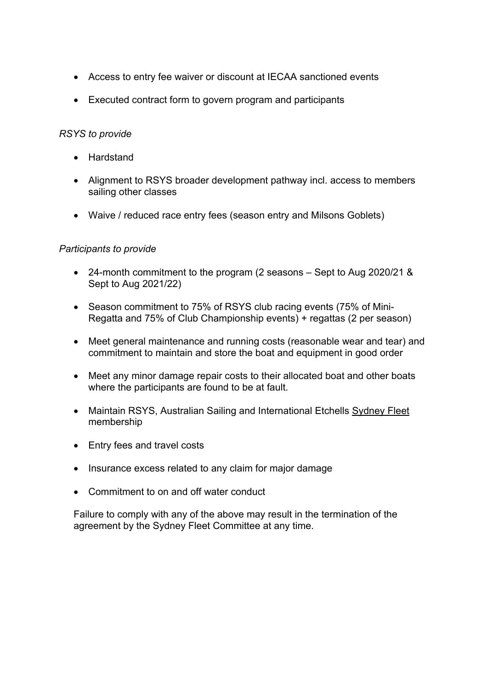- Access to entry fee waiver or discount at IECAA sanctioned events
- Executed contract form to govern program and participants

#### *RSYS to provide*

- Hardstand
- Alignment to RSYS broader development pathway incl. access to members sailing other classes
- Waive / reduced race entry fees (season entry and Milsons Goblets)

#### *Participants to provide*

- 24-month commitment to the program (2 seasons Sept to Aug 2020/21 & Sept to Aug 2021/22)
- Season commitment to 75% of RSYS club racing events (75% of Mini-Regatta and 75% of Club Championship events) + regattas (2 per season)
- Meet general maintenance and running costs (reasonable wear and tear) and commitment to maintain and store the boat and equipment in good order
- Meet any minor damage repair costs to their allocated boat and other boats where the participants are found to be at fault.
- Maintain RSYS, Australian Sailing and International Etchells Sydney Fleet membership
- Entry fees and travel costs
- Insurance excess related to any claim for major damage
- Commitment to on and off water conduct

Failure to comply with any of the above may result in the termination of the agreement by the Sydney Fleet Committee at any time.